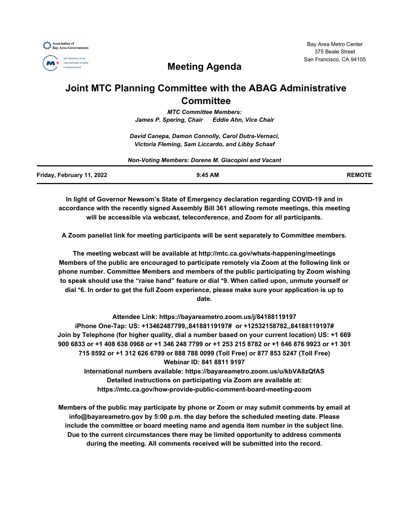



# **Meeting Agenda**

## **Joint MTC Planning Committee with the ABAG Administrative Committee**

*MTC Committee Members: James P. Spering, Chair Eddie Ahn, Vice Chair*

*David Canepa, Damon Connolly, Carol Dutra-Vernaci, Victoria Fleming, Sam Liccardo, and Libby Schaaf*

|                           | Non-Voting Members: Dorene M. Giacopini and Vacant |               |
|---------------------------|----------------------------------------------------|---------------|
| Friday, February 11, 2022 | $9:45$ AM                                          | <b>REMOTE</b> |

**In light of Governor Newsom's State of Emergency declaration regarding COVID-19 and in accordance with the recently signed Assembly Bill 361 allowing remote meetings, this meeting will be accessible via webcast, teleconference, and Zoom for all participants.**

**A Zoom panelist link for meeting participants will be sent separately to Committee members.**

**The meeting webcast will be available at http://mtc.ca.gov/whats-happening/meetings Members of the public are encouraged to participate remotely via Zoom at the following link or phone number. Committee Members and members of the public participating by Zoom wishing to speak should use the "raise hand" feature or dial \*9. When called upon, unmute yourself or dial \*6. In order to get the full Zoom experience, please make sure your application is up to date.**

**Attendee Link: https://bayareametro.zoom.us/j/84188119197 iPhone One-Tap: US: +13462487799,,84188119197# or +12532158782,,84188119197# Join by Telephone (for higher quality, dial a number based on your current location) US: +1 669 900 6833 or +1 408 638 0968 or +1 346 248 7799 or +1 253 215 8782 or +1 646 876 9923 or +1 301 715 8592 or +1 312 626 6799 or 888 788 0099 (Toll Free) or 877 853 5247 (Toll Free) Webinar ID: 841 8811 9197 International numbers available: https://bayareametro.zoom.us/u/kbVA8zQfAS**

**Detailed instructions on participating via Zoom are available at: https://mtc.ca.gov/how-provide-public-comment-board-meeting-zoom**

**Members of the public may participate by phone or Zoom or may submit comments by email at info@bayareametro.gov by 5:00 p.m. the day before the scheduled meeting date. Please include the committee or board meeting name and agenda item number in the subject line. Due to the current circumstances there may be limited opportunity to address comments during the meeting. All comments received will be submitted into the record.**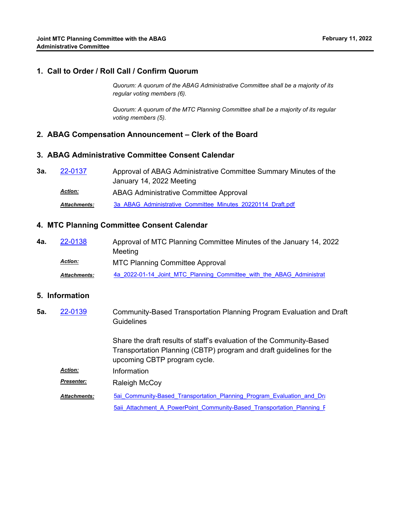#### **1. Call to Order / Roll Call / Confirm Quorum**

*Quorum: A quorum of the ABAG Administrative Committee shall be a majority of its regular voting members (6).*

*Quorum: A quorum of the MTC Planning Committee shall be a majority of its regular voting members (5).*

#### **2. ABAG Compensation Announcement – Clerk of the Board**

#### **3. ABAG Administrative Committee Consent Calendar**

| За. | 22-0137             | Approval of ABAG Administrative Committee Summary Minutes of the |
|-----|---------------------|------------------------------------------------------------------|
|     |                     | January 14, 2022 Meeting                                         |
|     | <b>Action:</b>      | ABAG Administrative Committee Approval                           |
|     | <b>Attachments:</b> | 3a ABAG Administrative Committee Minutes 20220114 Draft.pdf      |

#### **4. MTC Planning Committee Consent Calendar**

Approval of MTC Planning Committee Minutes of the January 14, 2022 Meeting **4a.** [22-0138](http://mtc.legistar.com/gateway.aspx?m=l&id=/matter.aspx?key=23397) MTC Planning Committee Approval *Action:* Attachments: [4a\\_2022-01-14\\_Joint\\_MTC\\_Planning\\_Committee\\_with\\_the\\_ABAG\\_Administrat](http://mtc.legistar.com/gateway.aspx?M=F&ID=8c4c0927-6049-4c64-92ed-e66854e177d4.pdf)

#### **5. Information**

Community-Based Transportation Planning Program Evaluation and Draft **Guidelines 5a.** [22-0139](http://mtc.legistar.com/gateway.aspx?m=l&id=/matter.aspx?key=23398)

> Share the draft results of staff's evaluation of the Community-Based Transportation Planning (CBTP) program and draft guidelines for the upcoming CBTP program cycle.

*Action:* Information

**Presenter: Raleigh McCoy** 

5ai Community-Based\_Transportation\_Planning\_Program\_Evaluation\_and\_Dra 5aii\_Attachment\_A\_PowerPoint\_Community-Based\_Transportation\_Planning\_F *Attachments:*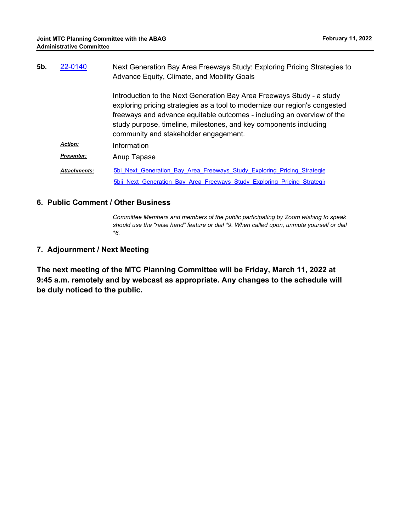| 5b. | 22-0140             | Next Generation Bay Area Freeways Study: Exploring Pricing Strategies to                                                                                                                                                                                                                                                                    |
|-----|---------------------|---------------------------------------------------------------------------------------------------------------------------------------------------------------------------------------------------------------------------------------------------------------------------------------------------------------------------------------------|
|     |                     | Advance Equity, Climate, and Mobility Goals                                                                                                                                                                                                                                                                                                 |
|     |                     | Introduction to the Next Generation Bay Area Freeways Study - a study<br>exploring pricing strategies as a tool to modernize our region's congested<br>freeways and advance equitable outcomes - including an overview of the<br>study purpose, timeline, milestones, and key components including<br>community and stakeholder engagement. |
|     | <b>Action:</b>      | Information                                                                                                                                                                                                                                                                                                                                 |
|     | <b>Presenter:</b>   | Anup Tapase                                                                                                                                                                                                                                                                                                                                 |
|     | <b>Attachments:</b> | 5bi Next Generation Bay Area Freeways Study Exploring Pricing Strategie                                                                                                                                                                                                                                                                     |
|     |                     | 5bii Next Generation Bay Area Freeways Study Exploring Pricing Strategio                                                                                                                                                                                                                                                                    |

#### **6. Public Comment / Other Business**

*Committee Members and members of the public participating by Zoom wishing to speak should use the "raise hand" feature or dial \*9. When called upon, unmute yourself or dial \*6.*

### **7. Adjournment / Next Meeting**

**The next meeting of the MTC Planning Committee will be Friday, March 11, 2022 at 9:45 a.m. remotely and by webcast as appropriate. Any changes to the schedule will be duly noticed to the public.**